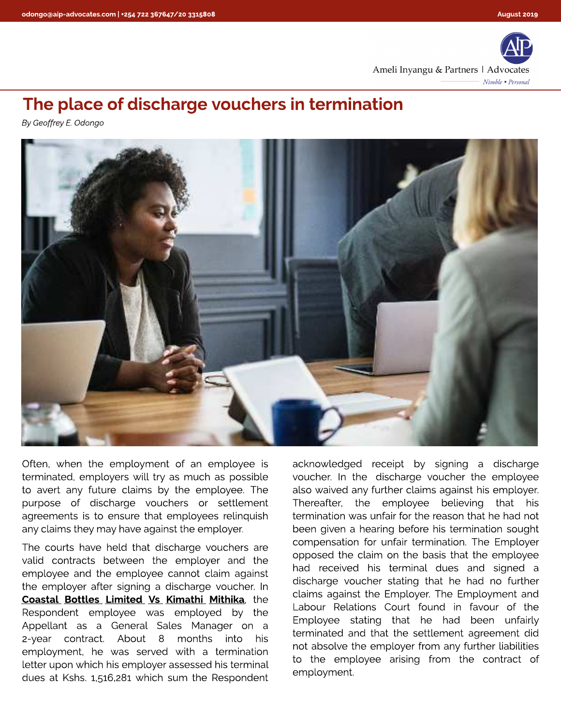

## The place of discharge vouchers in termination

**By Geoffrey E. Odongo**



Often, when the employment of an employee is terminated, employers will try as much as possible to avert any future claims by the employee. The purpose of discharge vouchers or settlement agreements is to ensure that employees relinquish any claims they may have against the employer.

The courts have held that discharge vouchers are valid contracts between the employer and the employee and the employee cannot claim against the employer after signing a discharge voucher. In Coastal Bottles Limited Vs Kimathi Mithika, the Respondent employee was employed by the Appellant as a General Sales Manager on a 2-year contract. About 8 months into his employment, he was served with a termination letter upon which his employer assessed his terminal dues at Kshs. 1,516,281 which sum the Respondent acknowledged receipt by signing a discharge voucher. In the discharge voucher the employee also waived any further claims against his employer. Thereafter, the employee believing that his termination was unfair for the reason that he had not been given a hearing before his termination sought compensation for unfair termination. The Employer opposed the claim on the basis that the employee had received his terminal dues and signed a discharge voucher stating that he had no further claims against the Employer. The Employment and Labour Relations Court found in favour of the Employee stating that he had been unfairly terminated and that the settlement agreement did not absolve the employer from any further liabilities to the employee arising from the contract of employment.